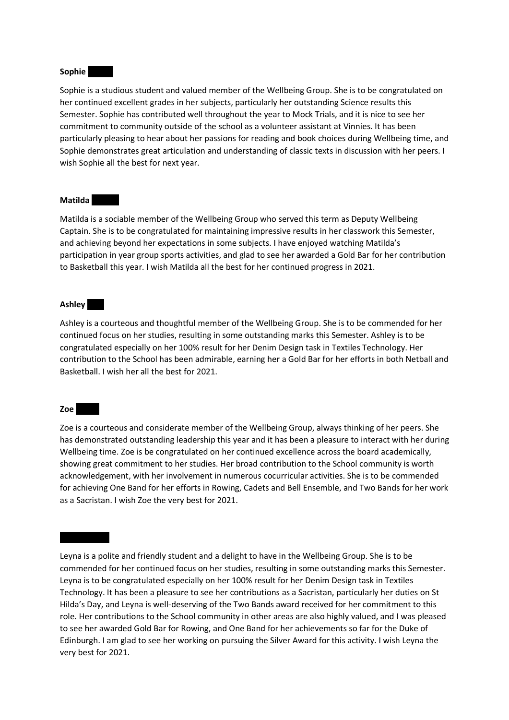#### Sophie

Sophie is a studious student and valued member of the Wellbeing Group. She is to be congratulated on her continued excellent grades in her subjects, particularly her outstanding Science results this Semester. Sophie has contributed well throughout the year to Mock Trials, and it is nice to see her commitment to community outside of the school as a volunteer assistant at Vinnies. It has been particularly pleasing to hear about her passions for reading and book choices during Wellbeing time, and Sophie demonstrates great articulation and understanding of classic texts in discussion with her peers. I wish Sophie all the best for next year.

## **Matilda**

Matilda is a sociable member of the Wellbeing Group who served this term as Deputy Wellbeing Captain. She is to be congratulated for maintaining impressive results in her classwork this Semester, and achieving beyond her expectations in some subjects. I have enjoyed watching Matilda's participation in year group sports activities, and glad to see her awarded a Gold Bar for her contribution to Basketball this year. I wish Matilda all the best for her continued progress in 2021.

## Ashley **Charles**

Ashley is a courteous and thoughtful member of the Wellbeing Group. She is to be commended for her continued focus on her studies, resulting in some outstanding marks this Semester. Ashley is to be congratulated especially on her 100% result for her Denim Design task in Textiles Technology. Her contribution to the School has been admirable, earning her a Gold Bar for her efforts in both Netball and Basketball. I wish her all the best for 2021.

#### $Zoe$

Zoe is a courteous and considerate member of the Wellbeing Group, always thinking of her peers. She has demonstrated outstanding leadership this year and it has been a pleasure to interact with her during Wellbeing time. Zoe is be congratulated on her continued excellence across the board academically, showing great commitment to her studies. Her broad contribution to the School community is worth acknowledgement, with her involvement in numerous cocurricular activities. She is to be commended for achieving One Band for her efforts in Rowing, Cadets and Bell Ensemble, and Two Bands for her work as a Sacristan. I wish Zoe the very best for 2021.

Leyna is a polite and friendly student and a delight to have in the Wellbeing Group. She is to be commended for her continued focus on her studies, resulting in some outstanding marks this Semester. Leyna is to be congratulated especially on her 100% result for her Denim Design task in Textiles Technology. It has been a pleasure to see her contributions as a Sacristan, particularly her duties on St Hilda's Day, and Leyna is well-deserving of the Two Bands award received for her commitment to this role. Her contributions to the School community in other areas are also highly valued, and I was pleased to see her awarded Gold Bar for Rowing, and One Band for her achievements so far for the Duke of Edinburgh. I am glad to see her working on pursuing the Silver Award for this activity. I wish Leyna the very best for 2021.

Leyna Davies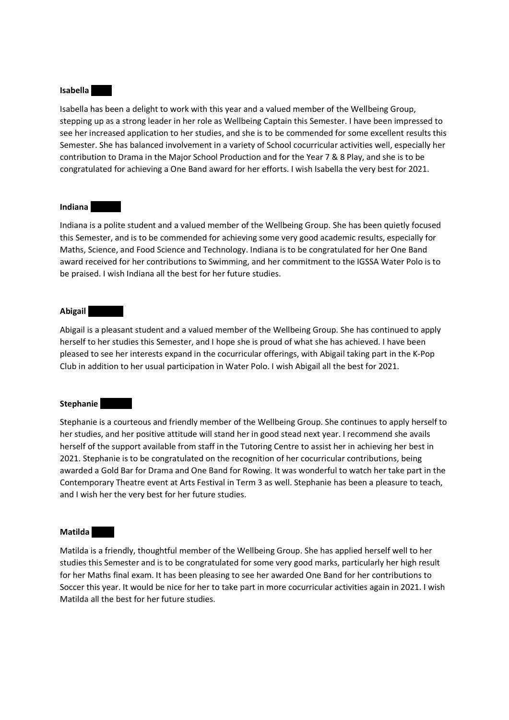### **Isabella**

Isabella has been a delight to work with this year and a valued member of the Wellbeing Group, stepping up as a strong leader in her role as Wellbeing Captain this Semester. I have been impressed to see her increased application to her studies, and she is to be commended for some excellent results this Semester. She has balanced involvement in a variety of School cocurricular activities well, especially her contribution to Drama in the Major School Production and for the Year 7 & 8 Play, and she is to be congratulated for achieving a One Band award for her efforts. I wish Isabella the very best for 2021.

## **Indiana**

Indiana is a polite student and a valued member of the Wellbeing Group. She has been quietly focused this Semester, and is to be commended for achieving some very good academic results, especially for Maths, Science, and Food Science and Technology. Indiana is to be congratulated for her One Band award received for her contributions to Swimming, and her commitment to the IGSSA Water Polo is to be praised. I wish Indiana all the best for her future studies.

## Abigail

Abigail is a pleasant student and a valued member of the Wellbeing Group. She has continued to apply herself to her studies this Semester, and I hope she is proud of what she has achieved. I have been pleased to see her interests expand in the cocurricular offerings, with Abigail taking part in the K-Pop Club in addition to her usual participation in Water Polo. I wish Abigail all the best for 2021.

## Stephanie

Stephanie is a courteous and friendly member of the Wellbeing Group. She continues to apply herself to her studies, and her positive attitude will stand her in good stead next year. I recommend she avails herself of the support available from staff in the Tutoring Centre to assist her in achieving her best in 2021. Stephanie is to be congratulated on the recognition of her cocurricular contributions, being awarded a Gold Bar for Drama and One Band for Rowing. It was wonderful to watch her take part in the Contemporary Theatre event at Arts Festival in Term 3 as well. Stephanie has been a pleasure to teach, and I wish her the very best for her future studies.

## Matilda<sup>l</sup>

Matilda is a friendly, thoughtful member of the Wellbeing Group. She has applied herself well to her studies this Semester and is to be congratulated for some very good marks, particularly her high result for her Maths final exam. It has been pleasing to see her awarded One Band for her contributions to Soccer this year. It would be nice for her to take part in more cocurricular activities again in 2021. I wish Matilda all the best for her future studies.